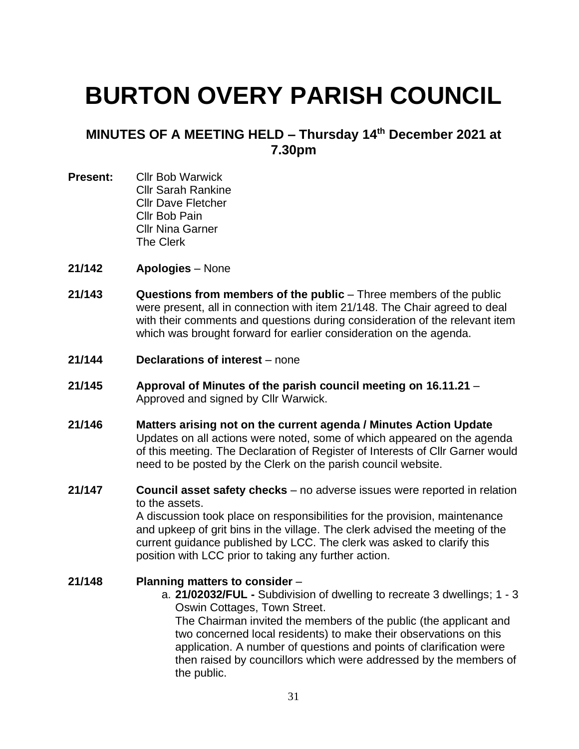# **BURTON OVERY PARISH COUNCIL**

## **MINUTES OF A MEETING HELD – Thursday 14 th December 2021 at 7.30pm**

- **Present:** Cllr Bob Warwick Cllr Sarah Rankine Cllr Dave Fletcher Cllr Bob Pain Cllr Nina Garner The Clerk
- **21/142 Apologies** None
- **21/143 Questions from members of the public** Three members of the public were present, all in connection with item 21/148. The Chair agreed to deal with their comments and questions during consideration of the relevant item which was brought forward for earlier consideration on the agenda.
- **21/144 Declarations of interest** none
- **21/145 Approval of Minutes of the parish council meeting on 16.11.21** Approved and signed by Cllr Warwick.
- **21/146 Matters arising not on the current agenda / Minutes Action Update** Updates on all actions were noted, some of which appeared on the agenda of this meeting. The Declaration of Register of Interests of Cllr Garner would need to be posted by the Clerk on the parish council website.
- **21/147 Council asset safety checks** no adverse issues were reported in relation to the assets.

A discussion took place on responsibilities for the provision, maintenance and upkeep of grit bins in the village. The clerk advised the meeting of the current guidance published by LCC. The clerk was asked to clarify this position with LCC prior to taking any further action.

#### **21/148 Planning matters to consider** –

a. **21/02032/FUL -** Subdivision of dwelling to recreate 3 dwellings; 1 - 3 Oswin Cottages, Town Street.

The Chairman invited the members of the public (the applicant and two concerned local residents) to make their observations on this application. A number of questions and points of clarification were then raised by councillors which were addressed by the members of the public.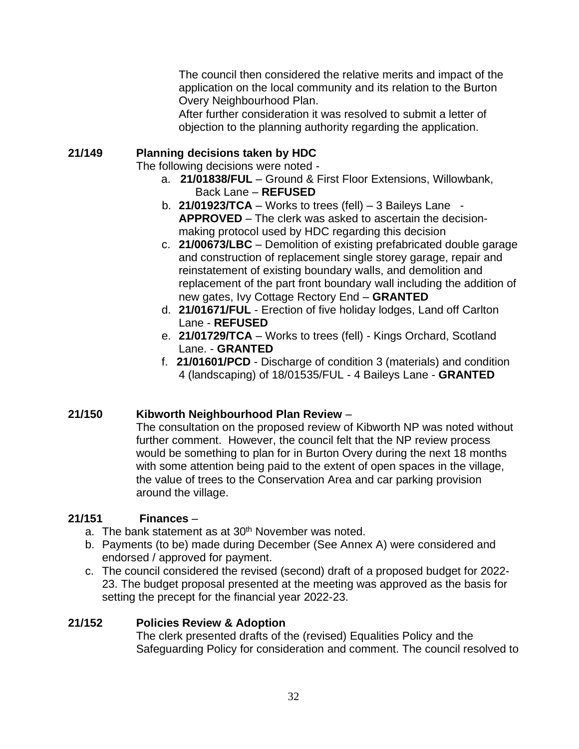The council then considered the relative merits and impact of the application on the local community and its relation to the Burton Overy Neighbourhood Plan.

After further consideration it was resolved to submit a letter of objection to the planning authority regarding the application.

#### **21/149 Planning decisions taken by HDC**

The following decisions were noted -

- a. **21/01838/FUL** Ground & First Floor Extensions, Willowbank, Back Lane – **REFUSED**
- b.  $21/01923/TCA Works$  to trees (fell)  $-3$  Baileys Lane  $-$ **APPROVED** – The clerk was asked to ascertain the decisionmaking protocol used by HDC regarding this decision
- c. **21/00673/LBC** Demolition of existing prefabricated double garage and construction of replacement single storey garage, repair and reinstatement of existing boundary walls, and demolition and replacement of the part front boundary wall including the addition of new gates, Ivy Cottage Rectory End – **GRANTED**
- d. **21/01671/FUL** Erection of five holiday lodges, Land off Carlton Lane - **REFUSED**
- e. **21/01729/TCA** Works to trees (fell) Kings Orchard, Scotland Lane. - **GRANTED**
- f. **21/01601/PCD** Discharge of condition 3 (materials) and condition 4 (landscaping) of 18/01535/FUL - 4 Baileys Lane - **GRANTED**

### **21/150 Kibworth Neighbourhood Plan Review** –

The consultation on the proposed review of Kibworth NP was noted without further comment. However, the council felt that the NP review process would be something to plan for in Burton Overy during the next 18 months with some attention being paid to the extent of open spaces in the village, the value of trees to the Conservation Area and car parking provision around the village.

### **21/151 Finances** –

- a. The bank statement as at 30<sup>th</sup> November was noted.
- b. Payments (to be) made during December (See Annex A) were considered and endorsed / approved for payment.
- c. The council considered the revised (second) draft of a proposed budget for 2022- 23. The budget proposal presented at the meeting was approved as the basis for setting the precept for the financial year 2022-23.

#### **21/152 Policies Review & Adoption**

The clerk presented drafts of the (revised) Equalities Policy and the Safeguarding Policy for consideration and comment. The council resolved to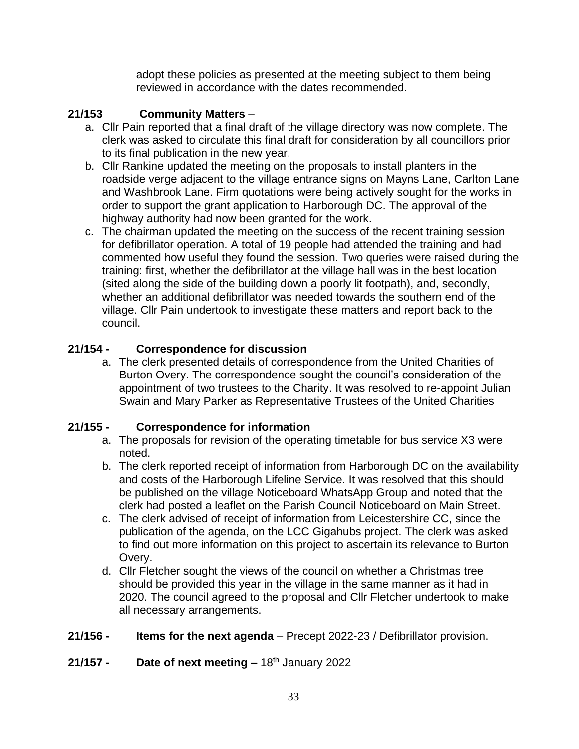adopt these policies as presented at the meeting subject to them being reviewed in accordance with the dates recommended.

#### **21/153 Community Matters** –

- a. Cllr Pain reported that a final draft of the village directory was now complete. The clerk was asked to circulate this final draft for consideration by all councillors prior to its final publication in the new year.
- b. Cllr Rankine updated the meeting on the proposals to install planters in the roadside verge adjacent to the village entrance signs on Mayns Lane, Carlton Lane and Washbrook Lane. Firm quotations were being actively sought for the works in order to support the grant application to Harborough DC. The approval of the highway authority had now been granted for the work.
- c. The chairman updated the meeting on the success of the recent training session for defibrillator operation. A total of 19 people had attended the training and had commented how useful they found the session. Two queries were raised during the training: first, whether the defibrillator at the village hall was in the best location (sited along the side of the building down a poorly lit footpath), and, secondly, whether an additional defibrillator was needed towards the southern end of the village. Cllr Pain undertook to investigate these matters and report back to the council.

### **21/154 - Correspondence for discussion**

a. The clerk presented details of correspondence from the United Charities of Burton Overy. The correspondence sought the council's consideration of the appointment of two trustees to the Charity. It was resolved to re-appoint Julian Swain and Mary Parker as Representative Trustees of the United Charities

#### **21/155 - Correspondence for information**

- a. The proposals for revision of the operating timetable for bus service X3 were noted.
- b. The clerk reported receipt of information from Harborough DC on the availability and costs of the Harborough Lifeline Service. It was resolved that this should be published on the village Noticeboard WhatsApp Group and noted that the clerk had posted a leaflet on the Parish Council Noticeboard on Main Street.
- c. The clerk advised of receipt of information from Leicestershire CC, since the publication of the agenda, on the LCC Gigahubs project. The clerk was asked to find out more information on this project to ascertain its relevance to Burton Overy.
- d. Cllr Fletcher sought the views of the council on whether a Christmas tree should be provided this year in the village in the same manner as it had in 2020. The council agreed to the proposal and Cllr Fletcher undertook to make all necessary arrangements.
- **21/156 - Items for the next agenda** Precept 2022-23 / Defibrillator provision.
- **21/157 - Date of next meeting –** 18 th January 2022